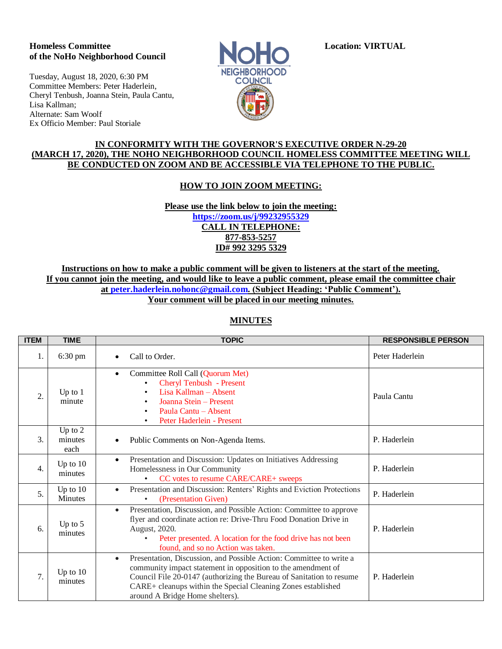#### **Homeless Committee Location: VIRTUAL of the NoHo Neighborhood Council**

Tuesday, August 18, 2020, 6:30 PM Committee Members: Peter Haderlein, Cheryl Tenbush, Joanna Stein, Paula Cantu, Lisa Kallman; Alternate: Sam Woolf Ex Officio Member: Paul Storiale



### **IN CONFORMITY WITH THE GOVERNOR'S EXECUTIVE ORDER N-29-20 (MARCH 17, 2020), THE NOHO NEIGHBORHOOD COUNCIL HOMELESS COMMITTEE MEETING WILL BE CONDUCTED ON ZOOM AND BE ACCESSIBLE VIA TELEPHONE TO THE PUBLIC.**

## **HOW TO JOIN ZOOM MEETING:**

**Please use the link below to join the meeting: <https://zoom.us/j/99232955329> CALL IN TELEPHONE: 877-853-5257 ID# 992 3295 5329**

**Instructions on how to make a public comment will be given to listeners at the start of the meeting. If you cannot join the meeting, and would like to leave a public comment, please email the committee chair at [peter.haderlein.nohonc@gmail.com.](mailto:peter.haderlein.nohonc@gmail.com) (Subject Heading: 'Public Comment'). Your comment will be placed in our meeting minutes.**

# **MINUTES**

| <b>ITEM</b>      | <b>TIME</b>                  | <b>TOPIC</b>                                                                                                                                                                                                                                                                                                                | <b>RESPONSIBLE PERSON</b> |
|------------------|------------------------------|-----------------------------------------------------------------------------------------------------------------------------------------------------------------------------------------------------------------------------------------------------------------------------------------------------------------------------|---------------------------|
| 1.               | 6:30 pm                      | Call to Order.                                                                                                                                                                                                                                                                                                              | Peter Haderlein           |
| 2.               | Up to $1$<br>minute          | Committee Roll Call (Quorum Met)<br>$\bullet$<br>Cheryl Tenbush - Present<br>$\bullet$<br>Lisa Kallman - Absent<br>$\bullet$<br>Joanna Stein - Present<br>Paula Cantu - Absent<br>$\bullet$<br>Peter Haderlein - Present<br>٠                                                                                               | Paula Cantu               |
| 3.               | Up to $2$<br>minutes<br>each | Public Comments on Non-Agenda Items.                                                                                                                                                                                                                                                                                        | P. Haderlein              |
| $\overline{4}$ . | Up to $10$<br>minutes        | Presentation and Discussion: Updates on Initiatives Addressing<br>$\bullet$<br>Homelessness in Our Community<br>CC votes to resume CARE/CARE+ sweeps<br>$\bullet$                                                                                                                                                           | P. Haderlein              |
| 5.               | Up to $10$<br><b>Minutes</b> | Presentation and Discussion: Renters' Rights and Eviction Protections<br>$\bullet$<br>(Presentation Given)<br>$\bullet$                                                                                                                                                                                                     | P. Haderlein              |
| 6.               | Up to $5$<br>minutes         | Presentation, Discussion, and Possible Action: Committee to approve<br>$\bullet$<br>flyer and coordinate action re: Drive-Thru Food Donation Drive in<br>August, 2020.<br>Peter presented. A location for the food drive has not been<br>$\bullet$<br>found, and so no Action was taken.                                    | P. Haderlein              |
| 7.               | Up to $10$<br>minutes        | Presentation, Discussion, and Possible Action: Committee to write a<br>$\bullet$<br>community impact statement in opposition to the amendment of<br>Council File 20-0147 (authorizing the Bureau of Sanitation to resume<br>CARE+ cleanups within the Special Cleaning Zones established<br>around A Bridge Home shelters). | P. Haderlein              |